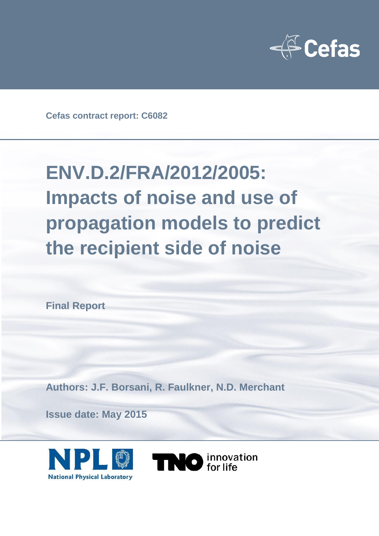

**Cefas contract report: C6082**

# **ENV.D.2/FRA/2012/2005: Impacts of noise and use of propagation models to predict the recipient side of noise**

**Final Report** 

**Authors: J.F. Borsani, R. Faulkner, N.D. Merchant**

**Issue date: May 2015**



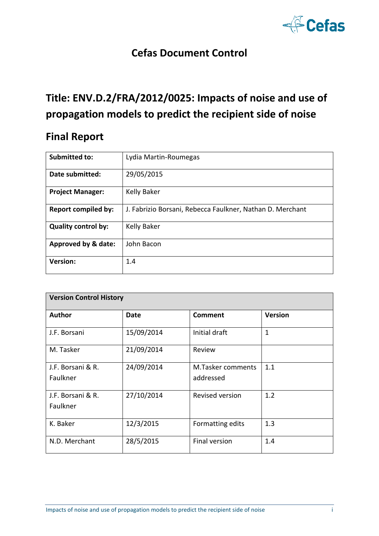

### **Cefas Document Control**

# **Title: ENV.D.2/FRA/2012/0025: Impacts of noise and use of propagation models to predict the recipient side of noise**

### **Final Report**

| <b>Submitted to:</b>       | Lydia Martin-Roumegas                                     |
|----------------------------|-----------------------------------------------------------|
| Date submitted:            | 29/05/2015                                                |
| <b>Project Manager:</b>    | Kelly Baker                                               |
| <b>Report compiled by:</b> | J. Fabrizio Borsani, Rebecca Faulkner, Nathan D. Merchant |
| <b>Quality control by:</b> | Kelly Baker                                               |
| Approved by & date:        | John Bacon                                                |
| <b>Version:</b>            | 1.4                                                       |

| <b>Version Control History</b> |            |                                       |                |  |
|--------------------------------|------------|---------------------------------------|----------------|--|
| <b>Author</b>                  | Date       | <b>Comment</b>                        | <b>Version</b> |  |
| J.F. Borsani                   | 15/09/2014 | Initial draft                         | $\mathbf{1}$   |  |
| M. Tasker                      | 21/09/2014 | Review                                |                |  |
| J.F. Borsani & R.<br>Faulkner  | 24/09/2014 | <b>M.Tasker comments</b><br>addressed | 1.1            |  |
| J.F. Borsani & R.<br>Faulkner  | 27/10/2014 | <b>Revised version</b>                | 1.2            |  |
| K. Baker                       | 12/3/2015  | Formatting edits                      | 1.3            |  |
| N.D. Merchant                  | 28/5/2015  | <b>Final version</b>                  | 1.4            |  |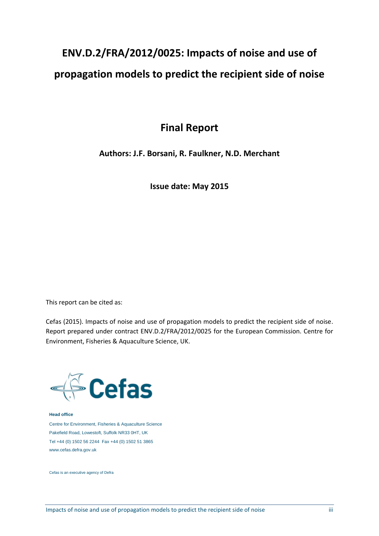# **ENV.D.2/FRA/2012/0025: Impacts of noise and use of propagation models to predict the recipient side of noise**

### **Final Report**

#### **Authors: J.F. Borsani, R. Faulkner, N.D. Merchant**

**Issue date: May 2015**

This report can be cited as:

Cefas (2015). Impacts of noise and use of propagation models to predict the recipient side of noise. Report prepared under contract ENV.D.2/FRA/2012/0025 for the European Commission. Centre for Environment, Fisheries & Aquaculture Science, UK.



**Head office**

Centre for Environment, Fisheries & Aquaculture Science Pakefield Road, Lowestoft, Suffolk NR33 0HT, UK Tel +44 (0) 1502 56 2244 Fax +44 (0) 1502 51 3865 www.cefas.defra.gov.uk

Cefas is an executive agency of Defra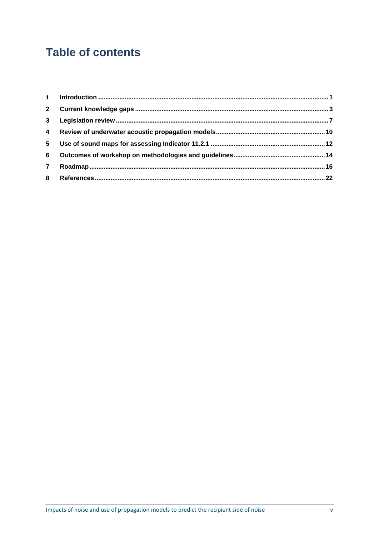## **Table of contents**

| $2^{\circ}$    |  |
|----------------|--|
| 3 <sup>1</sup> |  |
|                |  |
| 5              |  |
| 6              |  |
| $\overline{7}$ |  |
| 8              |  |
|                |  |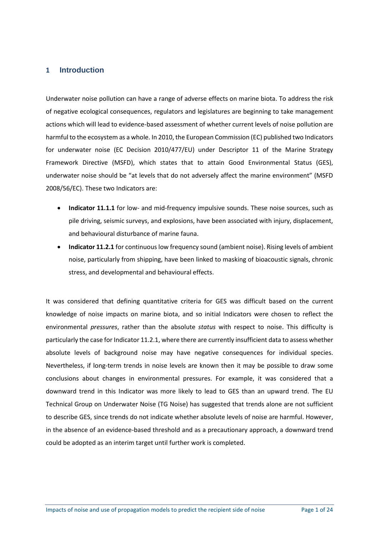#### **1 Introduction**

Underwater noise pollution can have a range of adverse effects on marine biota. To address the risk of negative ecological consequences, regulators and legislatures are beginning to take management actions which will lead to evidence-based assessment of whether current levels of noise pollution are harmful to the ecosystem as a whole. In 2010, the European Commission (EC) published two Indicators for underwater noise (EC Decision 2010/477/EU) under Descriptor 11 of the Marine Strategy Framework Directive (MSFD), which states that to attain Good Environmental Status (GES), underwater noise should be "at levels that do not adversely affect the marine environment" (MSFD 2008/56/EC). These two Indicators are:

- **Indicator 11.1.1** for low- and mid-frequency impulsive sounds. These noise sources, such as pile driving, seismic surveys, and explosions, have been associated with injury, displacement, and behavioural disturbance of marine fauna.
- **Indicator 11.2.1** for continuous low frequency sound (ambient noise). Rising levels of ambient noise, particularly from shipping, have been linked to masking of bioacoustic signals, chronic stress, and developmental and behavioural effects.

It was considered that defining quantitative criteria for GES was difficult based on the current knowledge of noise impacts on marine biota, and so initial Indicators were chosen to reflect the environmental *pressures*, rather than the absolute *status* with respect to noise. This difficulty is particularly the case for Indicator 11.2.1, where there are currently insufficient data to assess whether absolute levels of background noise may have negative consequences for individual species. Nevertheless, if long-term trends in noise levels are known then it may be possible to draw some conclusions about changes in environmental pressures. For example, it was considered that a downward trend in this Indicator was more likely to lead to GES than an upward trend. The EU Technical Group on Underwater Noise (TG Noise) has suggested that trends alone are not sufficient to describe GES, since trends do not indicate whether absolute levels of noise are harmful. However, in the absence of an evidence-based threshold and as a precautionary approach, a downward trend could be adopted as an interim target until further work is completed.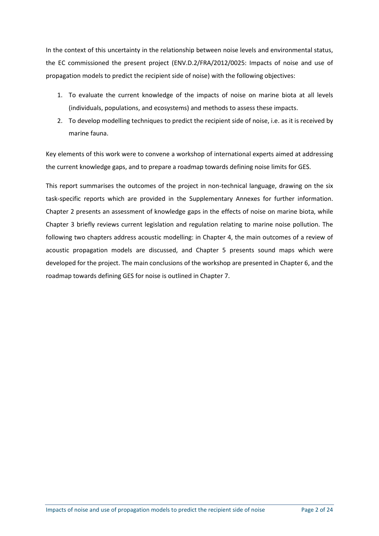In the context of this uncertainty in the relationship between noise levels and environmental status, the EC commissioned the present project (ENV.D.2/FRA/2012/0025: Impacts of noise and use of propagation models to predict the recipient side of noise) with the following objectives:

- 1. To evaluate the current knowledge of the impacts of noise on marine biota at all levels (individuals, populations, and ecosystems) and methods to assess these impacts.
- 2. To develop modelling techniques to predict the recipient side of noise, i.e. as it is received by marine fauna.

Key elements of this work were to convene a workshop of international experts aimed at addressing the current knowledge gaps, and to prepare a roadmap towards defining noise limits for GES.

This report summarises the outcomes of the project in non-technical language, drawing on the six task-specific reports which are provided in the Supplementary Annexes for further information. Chapter 2 presents an assessment of knowledge gaps in the effects of noise on marine biota, while Chapter 3 briefly reviews current legislation and regulation relating to marine noise pollution. The following two chapters address acoustic modelling: in Chapter 4, the main outcomes of a review of acoustic propagation models are discussed, and Chapter 5 presents sound maps which were developed for the project. The main conclusions of the workshop are presented in Chapter 6, and the roadmap towards defining GES for noise is outlined in Chapter 7.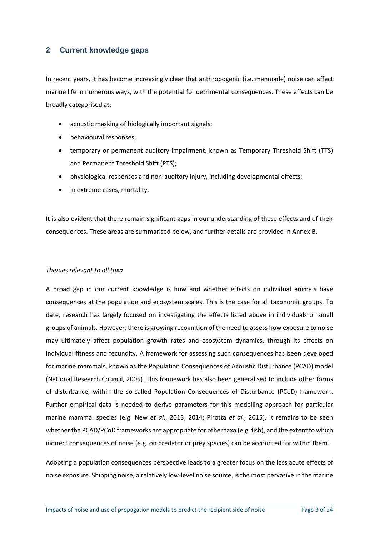#### **2 Current knowledge gaps**

In recent years, it has become increasingly clear that anthropogenic (i.e. manmade) noise can affect marine life in numerous ways, with the potential for detrimental consequences. These effects can be broadly categorised as:

- acoustic masking of biologically important signals;
- behavioural responses;
- temporary or permanent auditory impairment, known as Temporary Threshold Shift (TTS) and Permanent Threshold Shift (PTS);
- physiological responses and non-auditory injury, including developmental effects;
- in extreme cases, mortality.

It is also evident that there remain significant gaps in our understanding of these effects and of their consequences. These areas are summarised below, and further details are provided in Annex B.

#### *Themes relevant to all taxa*

A broad gap in our current knowledge is how and whether effects on individual animals have consequences at the population and ecosystem scales. This is the case for all taxonomic groups. To date, research has largely focused on investigating the effects listed above in individuals or small groups of animals. However, there is growing recognition of the need to assess how exposure to noise may ultimately affect population growth rates and ecosystem dynamics, through its effects on individual fitness and fecundity. A framework for assessing such consequences has been developed for marine mammals, known as the Population Consequences of Acoustic Disturbance (PCAD) model (National Research Council, 2005). This framework has also been generalised to include other forms of disturbance, within the so-called Population Consequences of Disturbance (PCoD) framework. Further empirical data is needed to derive parameters for this modelling approach for particular marine mammal species (e.g. New *et al.*, 2013, 2014; Pirotta *et al.*, 2015). It remains to be seen whether the PCAD/PCoD frameworks are appropriate for other taxa (e.g. fish), and the extent to which indirect consequences of noise (e.g. on predator or prey species) can be accounted for within them.

Adopting a population consequences perspective leads to a greater focus on the less acute effects of noise exposure. Shipping noise, a relatively low-level noise source, is the most pervasive in the marine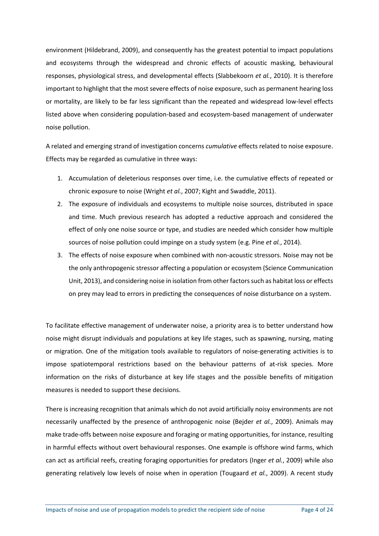environment (Hildebrand, 2009), and consequently has the greatest potential to impact populations and ecosystems through the widespread and chronic effects of acoustic masking, behavioural responses, physiological stress, and developmental effects (Slabbekoorn *et al.*, 2010). It is therefore important to highlight that the most severe effects of noise exposure, such as permanent hearing loss or mortality, are likely to be far less significant than the repeated and widespread low-level effects listed above when considering population-based and ecosystem-based management of underwater noise pollution.

A related and emerging strand of investigation concerns *cumulative* effects related to noise exposure. Effects may be regarded as cumulative in three ways:

- 1. Accumulation of deleterious responses over time, i.e. the cumulative effects of repeated or chronic exposure to noise (Wright *et al.*, 2007; Kight and Swaddle, 2011).
- 2. The exposure of individuals and ecosystems to multiple noise sources, distributed in space and time. Much previous research has adopted a reductive approach and considered the effect of only one noise source or type, and studies are needed which consider how multiple sources of noise pollution could impinge on a study system (e.g. Pine *et al.*, 2014).
- 3. The effects of noise exposure when combined with non-acoustic stressors. Noise may not be the only anthropogenic stressor affecting a population or ecosystem (Science Communication Unit, 2013), and considering noise in isolation from other factors such as habitat loss or effects on prey may lead to errors in predicting the consequences of noise disturbance on a system.

To facilitate effective management of underwater noise, a priority area is to better understand how noise might disrupt individuals and populations at key life stages, such as spawning, nursing, mating or migration. One of the mitigation tools available to regulators of noise-generating activities is to impose spatiotemporal restrictions based on the behaviour patterns of at-risk species. More information on the risks of disturbance at key life stages and the possible benefits of mitigation measures is needed to support these decisions.

There is increasing recognition that animals which do not avoid artificially noisy environments are not necessarily unaffected by the presence of anthropogenic noise (Bejder *et al.*, 2009). Animals may make trade-offs between noise exposure and foraging or mating opportunities, for instance, resulting in harmful effects without overt behavioural responses. One example is offshore wind farms, which can act as artificial reefs, creating foraging opportunities for predators (Inger *et al.*, 2009) while also generating relatively low levels of noise when in operation (Tougaard *et al.*, 2009). A recent study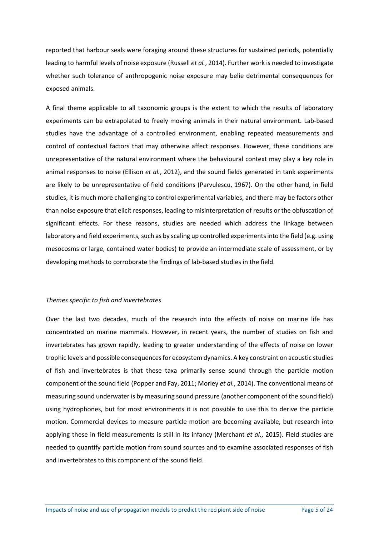reported that harbour seals were foraging around these structures for sustained periods, potentially leading to harmful levels of noise exposure (Russell *et al.*, 2014). Further work is needed to investigate whether such tolerance of anthropogenic noise exposure may belie detrimental consequences for exposed animals.

A final theme applicable to all taxonomic groups is the extent to which the results of laboratory experiments can be extrapolated to freely moving animals in their natural environment. Lab-based studies have the advantage of a controlled environment, enabling repeated measurements and control of contextual factors that may otherwise affect responses. However, these conditions are unrepresentative of the natural environment where the behavioural context may play a key role in animal responses to noise (Ellison *et al.*, 2012), and the sound fields generated in tank experiments are likely to be unrepresentative of field conditions (Parvulescu, 1967). On the other hand, in field studies, it is much more challenging to control experimental variables, and there may be factors other than noise exposure that elicit responses, leading to misinterpretation of results or the obfuscation of significant effects. For these reasons, studies are needed which address the linkage between laboratory and field experiments, such as by scaling up controlled experiments into the field (e.g. using mesocosms or large, contained water bodies) to provide an intermediate scale of assessment, or by developing methods to corroborate the findings of lab-based studies in the field.

#### *Themes specific to fish and invertebrates*

Over the last two decades, much of the research into the effects of noise on marine life has concentrated on marine mammals. However, in recent years, the number of studies on fish and invertebrates has grown rapidly, leading to greater understanding of the effects of noise on lower trophic levels and possible consequences for ecosystem dynamics. A key constraint on acoustic studies of fish and invertebrates is that these taxa primarily sense sound through the particle motion component of the sound field (Popper and Fay, 2011; Morley *et al.*, 2014). The conventional means of measuring sound underwater is by measuring sound pressure (another component of the sound field) using hydrophones, but for most environments it is not possible to use this to derive the particle motion. Commercial devices to measure particle motion are becoming available, but research into applying these in field measurements is still in its infancy (Merchant *et al.*, 2015). Field studies are needed to quantify particle motion from sound sources and to examine associated responses of fish and invertebrates to this component of the sound field.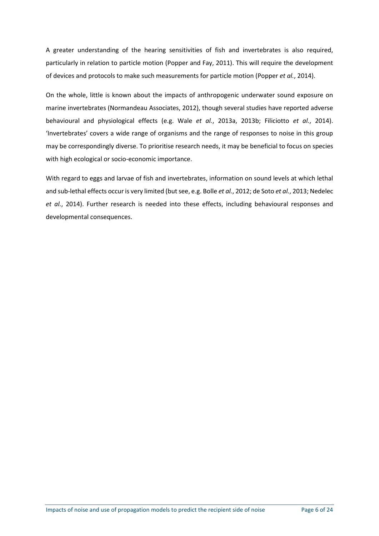A greater understanding of the hearing sensitivities of fish and invertebrates is also required, particularly in relation to particle motion (Popper and Fay, 2011). This will require the development of devices and protocols to make such measurements for particle motion (Popper *et al.*, 2014).

On the whole, little is known about the impacts of anthropogenic underwater sound exposure on marine invertebrates (Normandeau Associates, 2012), though several studies have reported adverse behavioural and physiological effects (e.g. Wale *et al.*, 2013a, 2013b; Filiciotto *et al.*, 2014). 'Invertebrates' covers a wide range of organisms and the range of responses to noise in this group may be correspondingly diverse. To prioritise research needs, it may be beneficial to focus on species with high ecological or socio-economic importance.

With regard to eggs and larvae of fish and invertebrates, information on sound levels at which lethal and sub-lethal effects occur is very limited (but see, e.g. Bolle *et al.*, 2012; de Soto *et al.*, 2013; Nedelec *et al.*, 2014). Further research is needed into these effects, including behavioural responses and developmental consequences.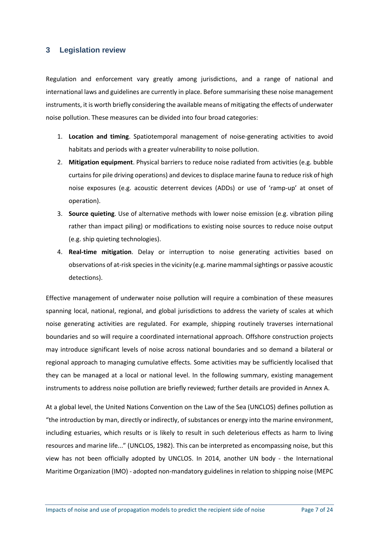#### **3 Legislation review**

Regulation and enforcement vary greatly among jurisdictions, and a range of national and international laws and guidelines are currently in place. Before summarising these noise management instruments, it is worth briefly considering the available means of mitigating the effects of underwater noise pollution. These measures can be divided into four broad categories:

- 1. **Location and timing**. Spatiotemporal management of noise-generating activities to avoid habitats and periods with a greater vulnerability to noise pollution.
- 2. **Mitigation equipment**. Physical barriers to reduce noise radiated from activities (e.g. bubble curtains for pile driving operations) and devices to displace marine fauna to reduce risk of high noise exposures (e.g. acoustic deterrent devices (ADDs) or use of 'ramp-up' at onset of operation).
- 3. **Source quieting**. Use of alternative methods with lower noise emission (e.g. vibration piling rather than impact piling) or modifications to existing noise sources to reduce noise output (e.g. ship quieting technologies).
- 4. **Real-time mitigation**. Delay or interruption to noise generating activities based on observations of at-risk species in the vicinity (e.g. marine mammal sightings or passive acoustic detections).

Effective management of underwater noise pollution will require a combination of these measures spanning local, national, regional, and global jurisdictions to address the variety of scales at which noise generating activities are regulated. For example, shipping routinely traverses international boundaries and so will require a coordinated international approach. Offshore construction projects may introduce significant levels of noise across national boundaries and so demand a bilateral or regional approach to managing cumulative effects. Some activities may be sufficiently localised that they can be managed at a local or national level. In the following summary, existing management instruments to address noise pollution are briefly reviewed; further details are provided in Annex A.

At a global level, the United Nations Convention on the Law of the Sea (UNCLOS) defines pollution as "the introduction by man, directly or indirectly, of substances or energy into the marine environment, including estuaries, which results or is likely to result in such deleterious effects as harm to living resources and marine life..." (UNCLOS, 1982). This can be interpreted as encompassing noise, but this view has not been officially adopted by UNCLOS. In 2014, another UN body - the International Maritime Organization (IMO) - adopted non-mandatory guidelines in relation to shipping noise (MEPC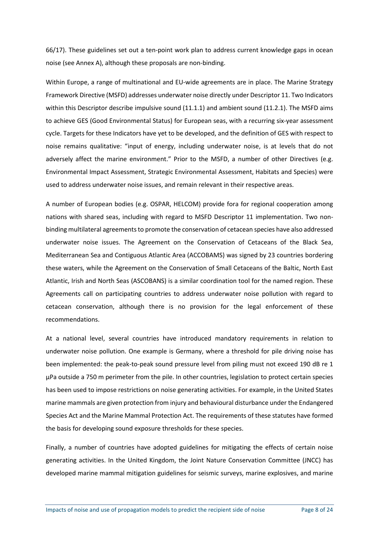66/17). These guidelines set out a ten-point work plan to address current knowledge gaps in ocean noise (see Annex A), although these proposals are non-binding.

Within Europe, a range of multinational and EU-wide agreements are in place. The Marine Strategy Framework Directive (MSFD) addresses underwater noise directly under Descriptor 11. Two Indicators within this Descriptor describe impulsive sound (11.1.1) and ambient sound (11.2.1). The MSFD aims to achieve GES (Good Environmental Status) for European seas, with a recurring six-year assessment cycle. Targets for these Indicators have yet to be developed, and the definition of GES with respect to noise remains qualitative: "input of energy, including underwater noise, is at levels that do not adversely affect the marine environment." Prior to the MSFD, a number of other Directives (e.g. Environmental Impact Assessment, Strategic Environmental Assessment, Habitats and Species) were used to address underwater noise issues, and remain relevant in their respective areas.

A number of European bodies (e.g. OSPAR, HELCOM) provide fora for regional cooperation among nations with shared seas, including with regard to MSFD Descriptor 11 implementation. Two nonbinding multilateral agreements to promote the conservation of cetacean species have also addressed underwater noise issues. The Agreement on the Conservation of Cetaceans of the Black Sea, Mediterranean Sea and Contiguous Atlantic Area (ACCOBAMS) was signed by 23 countries bordering these waters, while the Agreement on the Conservation of Small Cetaceans of the Baltic, North East Atlantic, Irish and North Seas (ASCOBANS) is a similar coordination tool for the named region. These Agreements call on participating countries to address underwater noise pollution with regard to cetacean conservation, although there is no provision for the legal enforcement of these recommendations.

At a national level, several countries have introduced mandatory requirements in relation to underwater noise pollution. One example is Germany, where a threshold for pile driving noise has been implemented: the peak-to-peak sound pressure level from piling must not exceed 190 dB re 1 µPa outside a 750 m perimeter from the pile. In other countries, legislation to protect certain species has been used to impose restrictions on noise generating activities. For example, in the United States marine mammals are given protection from injury and behavioural disturbance under the Endangered Species Act and the Marine Mammal Protection Act. The requirements of these statutes have formed the basis for developing sound exposure thresholds for these species.

Finally, a number of countries have adopted guidelines for mitigating the effects of certain noise generating activities. In the United Kingdom, the Joint Nature Conservation Committee (JNCC) has developed marine mammal mitigation guidelines for seismic surveys, marine explosives, and marine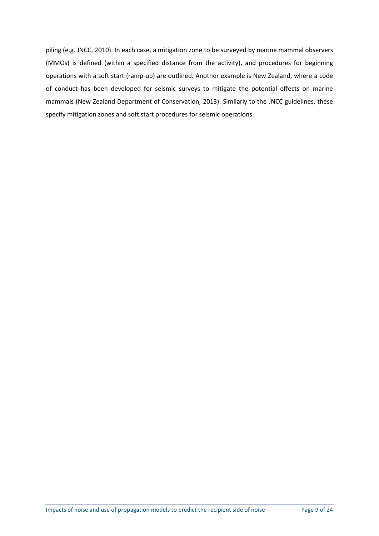piling (e.g. JNCC, 2010). In each case, a mitigation zone to be surveyed by marine mammal observers (MMOs) is defined (within a specified distance from the activity), and procedures for beginning operations with a soft start (ramp-up) are outlined. Another example is New Zealand, where a code of conduct has been developed for seismic surveys to mitigate the potential effects on marine mammals (New Zealand Department of Conservation, 2013). Similarly to the JNCC guidelines, these specify mitigation zones and soft start procedures for seismic operations.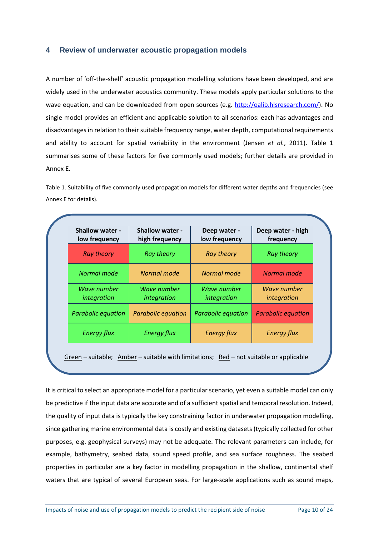#### **4 Review of underwater acoustic propagation models**

A number of 'off-the-shelf' acoustic propagation modelling solutions have been developed, and are widely used in the underwater acoustics community. These models apply particular solutions to the wave equation, and can be downloaded from open sources (e.g. [http://oalib.hlsresearch.com/\)](http://oalib.hlsresearch.com/). No single model provides an efficient and applicable solution to all scenarios: each has advantages and disadvantages in relation to their suitable frequency range, water depth, computational requirements and ability to account for spatial variability in the environment (Jensen *et al.*, 2011). Table 1 summarises some of these factors for five commonly used models; further details are provided in Annex E.

Table 1. Suitability of five commonly used propagation models for different water depths and frequencies (see Annex E for details).

| <b>Shallow water -</b><br>low frequency | <b>Shallow water -</b><br>high frequency | Deep water -<br>low frequency | Deep water - high<br>frequency |
|-----------------------------------------|------------------------------------------|-------------------------------|--------------------------------|
| <b>Ray theory</b>                       | <b>Ray theory</b>                        | <b>Ray theory</b>             | <b>Ray theory</b>              |
| Normal mode                             | Normal mode                              | Normal mode                   | Normal mode                    |
| Wave number<br>integration              | Wave number<br>integration               | Wave number<br>integration    | Wave number<br>integration     |
| Parabolic equation                      | <b>Parabolic equation</b>                | Parabolic equation            | <b>Parabolic equation</b>      |
| <b>Energy flux</b>                      | <b>Energy flux</b>                       | <b>Energy flux</b>            | <b>Energy flux</b>             |

It is critical to select an appropriate model for a particular scenario, yet even a suitable model can only be predictive if the input data are accurate and of a sufficient spatial and temporal resolution. Indeed, the quality of input data is typically the key constraining factor in underwater propagation modelling, since gathering marine environmental data is costly and existing datasets (typically collected for other purposes, e.g. geophysical surveys) may not be adequate. The relevant parameters can include, for example, bathymetry, seabed data, sound speed profile, and sea surface roughness. The seabed properties in particular are a key factor in modelling propagation in the shallow, continental shelf waters that are typical of several European seas. For large-scale applications such as sound maps,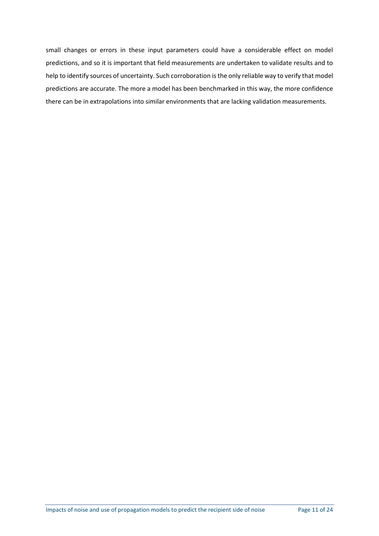small changes or errors in these input parameters could have a considerable effect on model predictions, and so it is important that field measurements are undertaken to validate results and to help to identify sources of uncertainty. Such corroboration is the only reliable way to verify that model predictions are accurate. The more a model has been benchmarked in this way, the more confidence there can be in extrapolations into similar environments that are lacking validation measurements.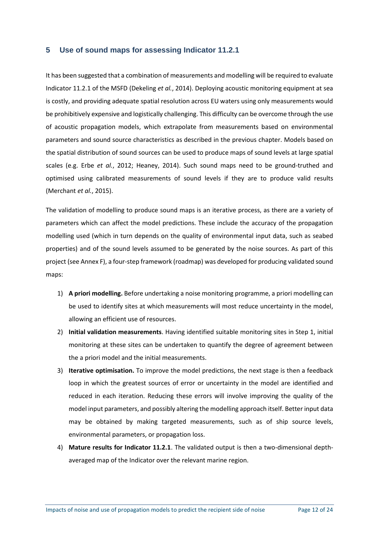#### **5 Use of sound maps for assessing Indicator 11.2.1**

It has been suggested that a combination of measurements and modelling will be required to evaluate Indicator 11.2.1 of the MSFD (Dekeling *et al.*, 2014). Deploying acoustic monitoring equipment at sea is costly, and providing adequate spatial resolution across EU waters using only measurements would be prohibitively expensive and logistically challenging. This difficulty can be overcome through the use of acoustic propagation models, which extrapolate from measurements based on environmental parameters and sound source characteristics as described in the previous chapter. Models based on the spatial distribution of sound sources can be used to produce maps of sound levels at large spatial scales (e.g. Erbe *et al.*, 2012; Heaney, 2014). Such sound maps need to be ground-truthed and optimised using calibrated measurements of sound levels if they are to produce valid results (Merchant *et al.*, 2015).

The validation of modelling to produce sound maps is an iterative process, as there are a variety of parameters which can affect the model predictions. These include the accuracy of the propagation modelling used (which in turn depends on the quality of environmental input data, such as seabed properties) and of the sound levels assumed to be generated by the noise sources. As part of this project (see Annex F), a four-step framework (roadmap) was developed for producing validated sound maps:

- 1) **A priori modelling.** Before undertaking a noise monitoring programme, a priori modelling can be used to identify sites at which measurements will most reduce uncertainty in the model, allowing an efficient use of resources.
- 2) **Initial validation measurements**. Having identified suitable monitoring sites in Step 1, initial monitoring at these sites can be undertaken to quantify the degree of agreement between the a priori model and the initial measurements.
- 3) **Iterative optimisation.** To improve the model predictions, the next stage is then a feedback loop in which the greatest sources of error or uncertainty in the model are identified and reduced in each iteration. Reducing these errors will involve improving the quality of the model input parameters, and possibly altering the modelling approach itself. Better input data may be obtained by making targeted measurements, such as of ship source levels, environmental parameters, or propagation loss.
- 4) **Mature results for Indicator 11.2.1**. The validated output is then a two-dimensional depthaveraged map of the Indicator over the relevant marine region.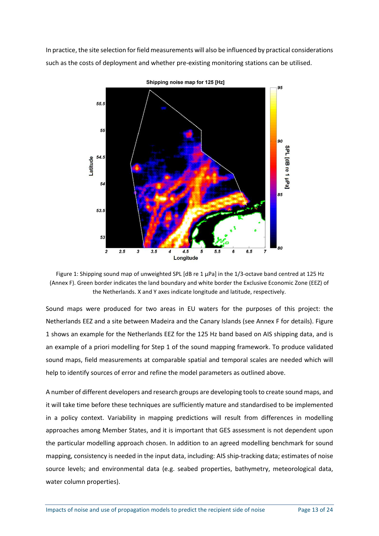In practice, the site selection for field measurements will also be influenced by practical considerations such as the costs of deployment and whether pre-existing monitoring stations can be utilised.



Figure 1: Shipping sound map of unweighted SPL [dB re 1 µPa] in the 1/3-octave band centred at 125 Hz (Annex F). Green border indicates the land boundary and white border the Exclusive Economic Zone (EEZ) of the Netherlands. X and Y axes indicate longitude and latitude, respectively.

Sound maps were produced for two areas in EU waters for the purposes of this project: the Netherlands EEZ and a site between Madeira and the Canary Islands (see Annex F for details). Figure 1 shows an example for the Netherlands EEZ for the 125 Hz band based on AIS shipping data, and is an example of a priori modelling for Step 1 of the sound mapping framework. To produce validated sound maps, field measurements at comparable spatial and temporal scales are needed which will help to identify sources of error and refine the model parameters as outlined above.

A number of different developers and research groups are developing tools to create sound maps, and it will take time before these techniques are sufficiently mature and standardised to be implemented in a policy context. Variability in mapping predictions will result from differences in modelling approaches among Member States, and it is important that GES assessment is not dependent upon the particular modelling approach chosen. In addition to an agreed modelling benchmark for sound mapping, consistency is needed in the input data, including: AIS ship-tracking data; estimates of noise source levels; and environmental data (e.g. seabed properties, bathymetry, meteorological data, water column properties).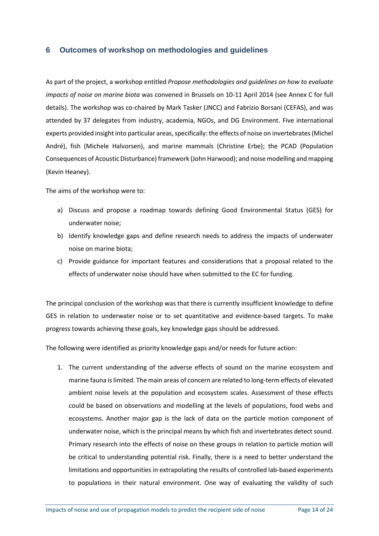#### **6 Outcomes of workshop on methodologies and guidelines**

As part of the project, a workshop entitled *Propose methodologies and guidelines on how to evaluate impacts of noise on marine biota* was convened in Brussels on 10-11 April 2014 (see Annex C for full details). The workshop was co-chaired by Mark Tasker (JNCC) and Fabrizio Borsani (CEFAS), and was attended by 37 delegates from industry, academia, NGOs, and DG Environment. Five international experts provided insight into particular areas, specifically: the effects of noise on invertebrates(Michel André), fish (Michele Halvorsen), and marine mammals (Christine Erbe); the PCAD (Population Consequences of Acoustic Disturbance) framework (John Harwood); and noise modelling and mapping (Kevin Heaney).

The aims of the workshop were to:

- a) Discuss and propose a roadmap towards defining Good Environmental Status (GES) for underwater noise;
- b) Identify knowledge gaps and define research needs to address the impacts of underwater noise on marine biota;
- c) Provide guidance for important features and considerations that a proposal related to the effects of underwater noise should have when submitted to the EC for funding.

The principal conclusion of the workshop was that there is currently insufficient knowledge to define GES in relation to underwater noise or to set quantitative and evidence-based targets. To make progress towards achieving these goals, key knowledge gaps should be addressed.

The following were identified as priority knowledge gaps and/or needs for future action:

1. The current understanding of the adverse effects of sound on the marine ecosystem and marine fauna is limited. The main areas of concern are related to long-term effects of elevated ambient noise levels at the population and ecosystem scales. Assessment of these effects could be based on observations and modelling at the levels of populations, food webs and ecosystems. Another major gap is the lack of data on the particle motion component of underwater noise, which is the principal means by which fish and invertebrates detect sound. Primary research into the effects of noise on these groups in relation to particle motion will be critical to understanding potential risk. Finally, there is a need to better understand the limitations and opportunities in extrapolating the results of controlled lab-based experiments to populations in their natural environment. One way of evaluating the validity of such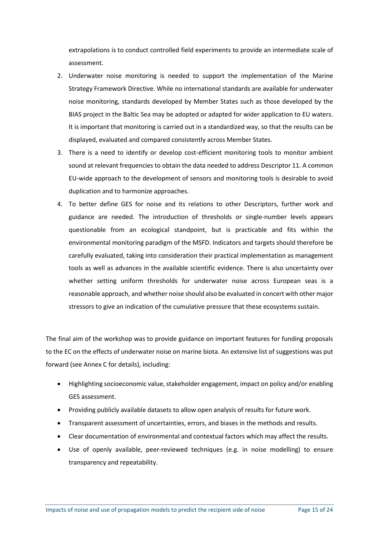extrapolations is to conduct controlled field experiments to provide an intermediate scale of assessment.

- 2. Underwater noise monitoring is needed to support the implementation of the Marine Strategy Framework Directive. While no international standards are available for underwater noise monitoring, standards developed by Member States such as those developed by the BIAS project in the Baltic Sea may be adopted or adapted for wider application to EU waters. It is important that monitoring is carried out in a standardized way, so that the results can be displayed, evaluated and compared consistently across Member States.
- 3. There is a need to identify or develop cost-efficient monitoring tools to monitor ambient sound at relevant frequencies to obtain the data needed to address Descriptor 11. A common EU-wide approach to the development of sensors and monitoring tools is desirable to avoid duplication and to harmonize approaches.
- 4. To better define GES for noise and its relations to other Descriptors, further work and guidance are needed. The introduction of thresholds or single-number levels appears questionable from an ecological standpoint, but is practicable and fits within the environmental monitoring paradigm of the MSFD. Indicators and targets should therefore be carefully evaluated, taking into consideration their practical implementation as management tools as well as advances in the available scientific evidence. There is also uncertainty over whether setting uniform thresholds for underwater noise across European seas is a reasonable approach, and whether noise should also be evaluated in concert with other major stressors to give an indication of the cumulative pressure that these ecosystems sustain.

The final aim of the workshop was to provide guidance on important features for funding proposals to the EC on the effects of underwater noise on marine biota. An extensive list of suggestions was put forward (see Annex C for details), including:

- Highlighting socioeconomic value, stakeholder engagement, impact on policy and/or enabling GES assessment.
- Providing publicly available datasets to allow open analysis of results for future work.
- Transparent assessment of uncertainties, errors, and biases in the methods and results.
- Clear documentation of environmental and contextual factors which may affect the results.
- Use of openly available, peer-reviewed techniques (e.g. in noise modelling) to ensure transparency and repeatability.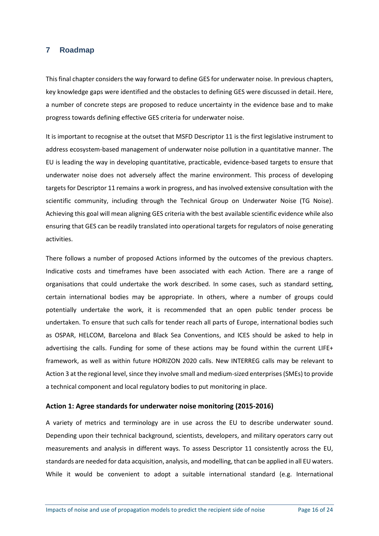#### **7 Roadmap**

This final chapter considers the way forward to define GES for underwater noise. In previous chapters, key knowledge gaps were identified and the obstacles to defining GES were discussed in detail. Here, a number of concrete steps are proposed to reduce uncertainty in the evidence base and to make progress towards defining effective GES criteria for underwater noise.

It is important to recognise at the outset that MSFD Descriptor 11 is the first legislative instrument to address ecosystem-based management of underwater noise pollution in a quantitative manner. The EU is leading the way in developing quantitative, practicable, evidence-based targets to ensure that underwater noise does not adversely affect the marine environment. This process of developing targets for Descriptor 11 remains a work in progress, and has involved extensive consultation with the scientific community, including through the Technical Group on Underwater Noise (TG Noise). Achieving this goal will mean aligning GES criteria with the best available scientific evidence while also ensuring that GES can be readily translated into operational targets for regulators of noise generating activities.

There follows a number of proposed Actions informed by the outcomes of the previous chapters. Indicative costs and timeframes have been associated with each Action. There are a range of organisations that could undertake the work described. In some cases, such as standard setting, certain international bodies may be appropriate. In others, where a number of groups could potentially undertake the work, it is recommended that an open public tender process be undertaken. To ensure that such calls for tender reach all parts of Europe, international bodies such as OSPAR, HELCOM, Barcelona and Black Sea Conventions, and ICES should be asked to help in advertising the calls. Funding for some of these actions may be found within the current LIFE+ framework, as well as within future HORIZON 2020 calls. New INTERREG calls may be relevant to Action 3 at the regional level, since they involve small and medium-sized enterprises(SMEs) to provide a technical component and local regulatory bodies to put monitoring in place.

#### **Action 1: Agree standards for underwater noise monitoring (2015-2016)**

A variety of metrics and terminology are in use across the EU to describe underwater sound. Depending upon their technical background, scientists, developers, and military operators carry out measurements and analysis in different ways. To assess Descriptor 11 consistently across the EU, standards are needed for data acquisition, analysis, and modelling, that can be applied in all EU waters. While it would be convenient to adopt a suitable international standard (e.g. International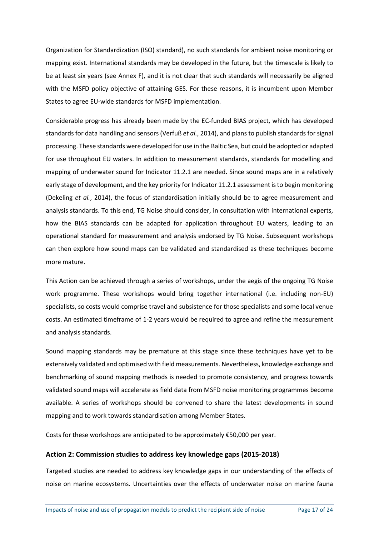Organization for Standardization (ISO) standard), no such standards for ambient noise monitoring or mapping exist. International standards may be developed in the future, but the timescale is likely to be at least six years (see Annex F), and it is not clear that such standards will necessarily be aligned with the MSFD policy objective of attaining GES. For these reasons, it is incumbent upon Member States to agree EU-wide standards for MSFD implementation.

Considerable progress has already been made by the EC-funded BIAS project, which has developed standards for data handling and sensors (Verfuß *et al.*, 2014), and plans to publish standards for signal processing. These standards were developed for use in the Baltic Sea, but could be adopted or adapted for use throughout EU waters. In addition to measurement standards, standards for modelling and mapping of underwater sound for Indicator 11.2.1 are needed. Since sound maps are in a relatively early stage of development, and the key priority for Indicator 11.2.1 assessment is to begin monitoring (Dekeling *et al.*, 2014), the focus of standardisation initially should be to agree measurement and analysis standards. To this end, TG Noise should consider, in consultation with international experts, how the BIAS standards can be adapted for application throughout EU waters, leading to an operational standard for measurement and analysis endorsed by TG Noise. Subsequent workshops can then explore how sound maps can be validated and standardised as these techniques become more mature.

This Action can be achieved through a series of workshops, under the aegis of the ongoing TG Noise work programme. These workshops would bring together international (i.e. including non-EU) specialists, so costs would comprise travel and subsistence for those specialists and some local venue costs. An estimated timeframe of 1-2 years would be required to agree and refine the measurement and analysis standards.

Sound mapping standards may be premature at this stage since these techniques have yet to be extensively validated and optimised with field measurements. Nevertheless, knowledge exchange and benchmarking of sound mapping methods is needed to promote consistency, and progress towards validated sound maps will accelerate as field data from MSFD noise monitoring programmes become available. A series of workshops should be convened to share the latest developments in sound mapping and to work towards standardisation among Member States.

Costs for these workshops are anticipated to be approximately €50,000 per year.

#### **Action 2: Commission studies to address key knowledge gaps (2015-2018)**

Targeted studies are needed to address key knowledge gaps in our understanding of the effects of noise on marine ecosystems. Uncertainties over the effects of underwater noise on marine fauna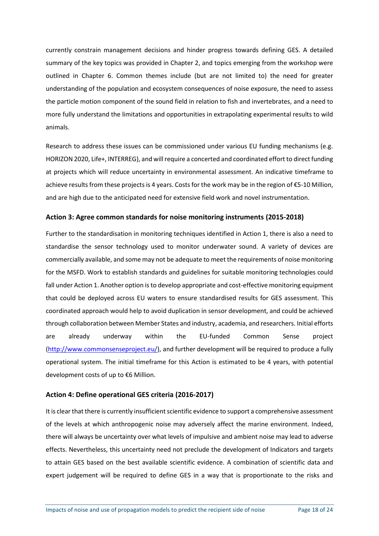currently constrain management decisions and hinder progress towards defining GES. A detailed summary of the key topics was provided in Chapter 2, and topics emerging from the workshop were outlined in Chapter 6. Common themes include (but are not limited to) the need for greater understanding of the population and ecosystem consequences of noise exposure, the need to assess the particle motion component of the sound field in relation to fish and invertebrates, and a need to more fully understand the limitations and opportunities in extrapolating experimental results to wild animals.

Research to address these issues can be commissioned under various EU funding mechanisms (e.g. HORIZON 2020, Life+, INTERREG), and will require a concerted and coordinated effort to direct funding at projects which will reduce uncertainty in environmental assessment. An indicative timeframe to achieve results from these projects is 4 years. Costs for the work may be in the region of €5-10 Million, and are high due to the anticipated need for extensive field work and novel instrumentation.

#### **Action 3: Agree common standards for noise monitoring instruments (2015-2018)**

Further to the standardisation in monitoring techniques identified in Action 1, there is also a need to standardise the sensor technology used to monitor underwater sound. A variety of devices are commercially available, and some may not be adequate to meet the requirements of noise monitoring for the MSFD. Work to establish standards and guidelines for suitable monitoring technologies could fall under Action 1. Another option is to develop appropriate and cost-effective monitoring equipment that could be deployed across EU waters to ensure standardised results for GES assessment. This coordinated approach would help to avoid duplication in sensor development, and could be achieved through collaboration between Member States and industry, academia, and researchers. Initial efforts are already underway within the EU-funded Common Sense project [\(http://www.commonsenseproject.eu/\)](http://www.commonsenseproject.eu/), and further development will be required to produce a fully operational system. The initial timeframe for this Action is estimated to be 4 years, with potential development costs of up to €6 Million.

#### **Action 4: Define operational GES criteria (2016-2017)**

It is clear that there is currently insufficient scientific evidence to support a comprehensive assessment of the levels at which anthropogenic noise may adversely affect the marine environment. Indeed, there will always be uncertainty over what levels of impulsive and ambient noise may lead to adverse effects. Nevertheless, this uncertainty need not preclude the development of Indicators and targets to attain GES based on the best available scientific evidence. A combination of scientific data and expert judgement will be required to define GES in a way that is proportionate to the risks and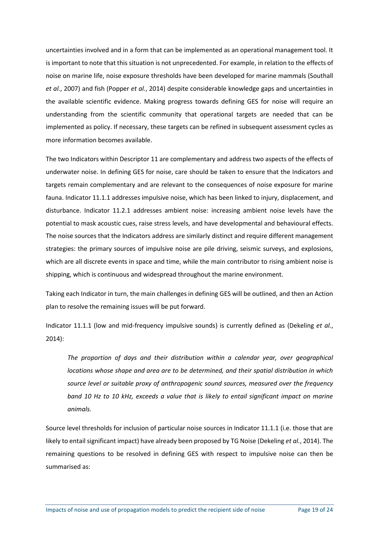uncertainties involved and in a form that can be implemented as an operational management tool. It is important to note that this situation is not unprecedented. For example, in relation to the effects of noise on marine life, noise exposure thresholds have been developed for marine mammals (Southall *et al.*, 2007) and fish (Popper *et al.*, 2014) despite considerable knowledge gaps and uncertainties in the available scientific evidence. Making progress towards defining GES for noise will require an understanding from the scientific community that operational targets are needed that can be implemented as policy. If necessary, these targets can be refined in subsequent assessment cycles as more information becomes available.

The two Indicators within Descriptor 11 are complementary and address two aspects of the effects of underwater noise. In defining GES for noise, care should be taken to ensure that the Indicators and targets remain complementary and are relevant to the consequences of noise exposure for marine fauna. Indicator 11.1.1 addresses impulsive noise, which has been linked to injury, displacement, and disturbance. Indicator 11.2.1 addresses ambient noise: increasing ambient noise levels have the potential to mask acoustic cues, raise stress levels, and have developmental and behavioural effects. The noise sources that the Indicators address are similarly distinct and require different management strategies: the primary sources of impulsive noise are pile driving, seismic surveys, and explosions, which are all discrete events in space and time, while the main contributor to rising ambient noise is shipping, which is continuous and widespread throughout the marine environment.

Taking each Indicator in turn, the main challenges in defining GES will be outlined, and then an Action plan to resolve the remaining issues will be put forward.

Indicator 11.1.1 (low and mid-frequency impulsive sounds) is currently defined as (Dekeling *et al.*, 2014):

*The proportion of days and their distribution within a calendar year, over geographical locations whose shape and area are to be determined, and their spatial distribution in which source level or suitable proxy of anthropogenic sound sources, measured over the frequency band 10 Hz to 10 kHz, exceeds a value that is likely to entail significant impact on marine animals.*

Source level thresholds for inclusion of particular noise sources in Indicator 11.1.1 (i.e. those that are likely to entail significant impact) have already been proposed by TG Noise (Dekeling *et al.*, 2014). The remaining questions to be resolved in defining GES with respect to impulsive noise can then be summarised as: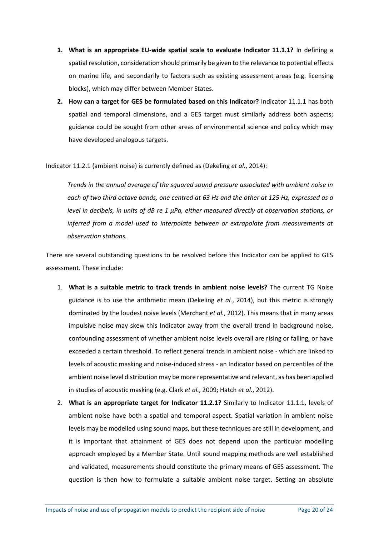- **1. What is an appropriate EU-wide spatial scale to evaluate Indicator 11.1.1?** In defining a spatial resolution, consideration should primarily be given to the relevance to potential effects on marine life, and secondarily to factors such as existing assessment areas (e.g. licensing blocks), which may differ between Member States.
- **2. How can a target for GES be formulated based on this Indicator?** Indicator 11.1.1 has both spatial and temporal dimensions, and a GES target must similarly address both aspects; guidance could be sought from other areas of environmental science and policy which may have developed analogous targets.

Indicator 11.2.1 (ambient noise) is currently defined as (Dekeling *et al.*, 2014):

*Trends in the annual average of the squared sound pressure associated with ambient noise in each of two third octave bands, one centred at 63 Hz and the other at 125 Hz, expressed as a level in decibels, in units of dB re 1 μPa, either measured directly at observation stations, or inferred from a model used to interpolate between or extrapolate from measurements at observation stations.*

There are several outstanding questions to be resolved before this Indicator can be applied to GES assessment. These include:

- 1. **What is a suitable metric to track trends in ambient noise levels?** The current TG Noise guidance is to use the arithmetic mean (Dekeling *et al.*, 2014), but this metric is strongly dominated by the loudest noise levels (Merchant *et al.*, 2012). This means that in many areas impulsive noise may skew this Indicator away from the overall trend in background noise, confounding assessment of whether ambient noise levels overall are rising or falling, or have exceeded a certain threshold. To reflect general trends in ambient noise - which are linked to levels of acoustic masking and noise-induced stress - an Indicator based on percentiles of the ambient noise level distribution may be more representative and relevant, as has been applied in studies of acoustic masking (e.g. Clark *et al.*, 2009; Hatch *et al.*, 2012).
- 2. **What is an appropriate target for Indicator 11.2.1?** Similarly to Indicator 11.1.1, levels of ambient noise have both a spatial and temporal aspect. Spatial variation in ambient noise levels may be modelled using sound maps, but these techniques are still in development, and it is important that attainment of GES does not depend upon the particular modelling approach employed by a Member State. Until sound mapping methods are well established and validated, measurements should constitute the primary means of GES assessment. The question is then how to formulate a suitable ambient noise target. Setting an absolute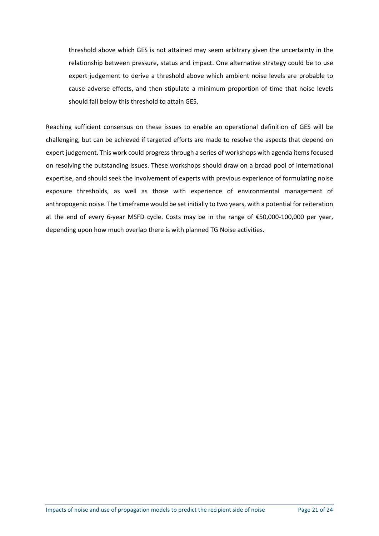threshold above which GES is not attained may seem arbitrary given the uncertainty in the relationship between pressure, status and impact. One alternative strategy could be to use expert judgement to derive a threshold above which ambient noise levels are probable to cause adverse effects, and then stipulate a minimum proportion of time that noise levels should fall below this threshold to attain GES.

Reaching sufficient consensus on these issues to enable an operational definition of GES will be challenging, but can be achieved if targeted efforts are made to resolve the aspects that depend on expert judgement. This work could progress through a series of workshops with agenda items focused on resolving the outstanding issues. These workshops should draw on a broad pool of international expertise, and should seek the involvement of experts with previous experience of formulating noise exposure thresholds, as well as those with experience of environmental management of anthropogenic noise. The timeframe would be set initially to two years, with a potential for reiteration at the end of every 6-year MSFD cycle. Costs may be in the range of €50,000-100,000 per year, depending upon how much overlap there is with planned TG Noise activities.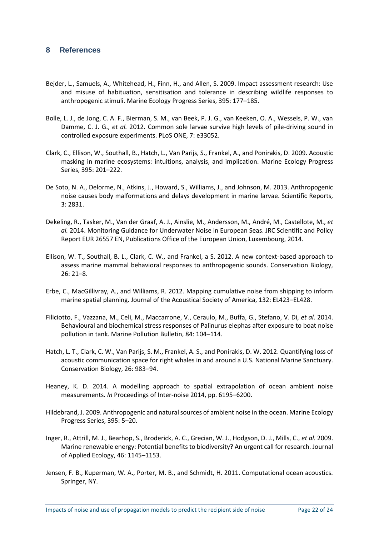#### **8 References**

- Bejder, L., Samuels, A., Whitehead, H., Finn, H., and Allen, S. 2009. Impact assessment research: Use and misuse of habituation, sensitisation and tolerance in describing wildlife responses to anthropogenic stimuli. Marine Ecology Progress Series, 395: 177–185.
- Bolle, L. J., de Jong, C. A. F., Bierman, S. M., van Beek, P. J. G., van Keeken, O. A., Wessels, P. W., van Damme, C. J. G., *et al.* 2012. Common sole larvae survive high levels of pile-driving sound in controlled exposure experiments. PLoS ONE, 7: e33052.
- Clark, C., Ellison, W., Southall, B., Hatch, L., Van Parijs, S., Frankel, A., and Ponirakis, D. 2009. Acoustic masking in marine ecosystems: intuitions, analysis, and implication. Marine Ecology Progress Series, 395: 201–222.
- De Soto, N. A., Delorme, N., Atkins, J., Howard, S., Williams, J., and Johnson, M. 2013. Anthropogenic noise causes body malformations and delays development in marine larvae. Scientific Reports, 3: 2831.
- Dekeling, R., Tasker, M., Van der Graaf, A. J., Ainslie, M., Andersson, M., André, M., Castellote, M., *et al.* 2014. Monitoring Guidance for Underwater Noise in European Seas. JRC Scientific and Policy Report EUR 26557 EN, Publications Office of the European Union, Luxembourg, 2014.
- Ellison, W. T., Southall, B. L., Clark, C. W., and Frankel, a S. 2012. A new context-based approach to assess marine mammal behavioral responses to anthropogenic sounds. Conservation Biology, 26: 21–8.
- Erbe, C., MacGillivray, A., and Williams, R. 2012. Mapping cumulative noise from shipping to inform marine spatial planning. Journal of the Acoustical Society of America, 132: EL423–EL428.
- Filiciotto, F., Vazzana, M., Celi, M., Maccarrone, V., Ceraulo, M., Buffa, G., Stefano, V. Di, *et al.* 2014. Behavioural and biochemical stress responses of Palinurus elephas after exposure to boat noise pollution in tank. Marine Pollution Bulletin, 84: 104–114.
- Hatch, L. T., Clark, C. W., Van Parijs, S. M., Frankel, A. S., and Ponirakis, D. W. 2012. Quantifying loss of acoustic communication space for right whales in and around a U.S. National Marine Sanctuary. Conservation Biology, 26: 983–94.
- Heaney, K. D. 2014. A modelling approach to spatial extrapolation of ocean ambient noise measurements. *In* Proceedings of Inter-noise 2014, pp. 6195–6200.
- Hildebrand, J. 2009. Anthropogenic and natural sources of ambient noise in the ocean. Marine Ecology Progress Series, 395: 5–20.
- Inger, R., Attrill, M. J., Bearhop, S., Broderick, A. C., Grecian, W. J., Hodgson, D. J., Mills, C., *et al.* 2009. Marine renewable energy: Potential benefits to biodiversity? An urgent call for research. Journal of Applied Ecology, 46: 1145–1153.
- Jensen, F. B., Kuperman, W. A., Porter, M. B., and Schmidt, H. 2011. Computational ocean acoustics. Springer, NY.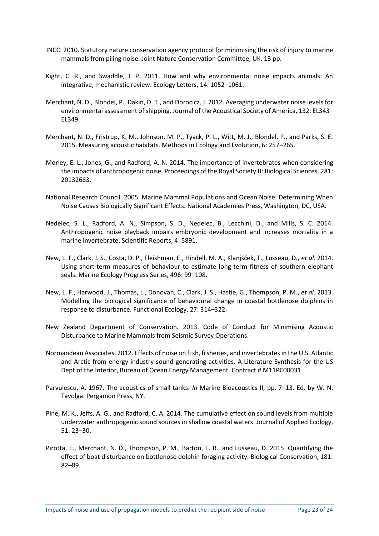- JNCC. 2010. Statutory nature conservation agency protocol for minimising the risk of injury to marine mammals from piling noise. Joint Nature Conservation Committee, UK. 13 pp.
- Kight, C. R., and Swaddle, J. P. 2011. How and why environmental noise impacts animals: An integrative, mechanistic review. Ecology Letters, 14: 1052–1061.
- Merchant, N. D., Blondel, P., Dakin, D. T., and Dorocicz, J. 2012. Averaging underwater noise levels for environmental assessment of shipping. Journal of the Acoustical Society of America, 132: EL343– EL349.
- Merchant, N. D., Fristrup, K. M., Johnson, M. P., Tyack, P. L., Witt, M. J., Blondel, P., and Parks, S. E. 2015. Measuring acoustic habitats. Methods in Ecology and Evolution, 6: 257–265.
- Morley, E. L., Jones, G., and Radford, A. N. 2014. The importance of invertebrates when considering the impacts of anthropogenic noise. Proceedings of the Royal Society B: Biological Sciences, 281: 20132683.
- National Research Council. 2005. Marine Mammal Populations and Ocean Noise: Determining When Noise Causes Biologically Significant Effects. National Academies Press, Washington, DC, USA.
- Nedelec, S. L., Radford, A. N., Simpson, S. D., Nedelec, B., Lecchini, D., and Mills, S. C. 2014. Anthropogenic noise playback impairs embryonic development and increases mortality in a marine invertebrate. Scientific Reports, 4: 5891.
- New, L. F., Clark, J. S., Costa, D. P., Fleishman, E., Hindell, M. A., Klanjšček, T., Lusseau, D., *et al.* 2014. Using short-term measures of behaviour to estimate long-term fitness of southern elephant seals. Marine Ecology Progress Series, 496: 99–108.
- New, L. F., Harwood, J., Thomas, L., Donovan, C., Clark, J. S., Hastie, G., Thompson, P. M., *et al.* 2013. Modelling the biological significance of behavioural change in coastal bottlenose dolphins in response to disturbance. Functional Ecology, 27: 314–322.
- New Zealand Department of Conservation. 2013. Code of Conduct for Minimising Acoustic Disturbance to Marine Mammals from Seismic Survey Operations.
- Normandeau Associates. 2012. Effects of noise on fi sh, fi sheries, and invertebrates in the U.S. Atlantic and Arctic from energy industry sound-generating activities. A Literature Synthesis for the US Dept of the Interior, Bureau of Ocean Energy Management. Contract # M11PC00031.
- Parvulescu, A. 1967. The acoustics of small tanks. *In* Marine Bioacoustics II, pp. 7–13. Ed. by W. N. Tavolga. Pergamon Press, NY.
- Pine, M. K., Jeffs, A. G., and Radford, C. A. 2014. The cumulative effect on sound levels from multiple underwater anthropogenic sound sources in shallow coastal waters. Journal of Applied Ecology, 51: 23–30.
- Pirotta, E., Merchant, N. D., Thompson, P. M., Barton, T. R., and Lusseau, D. 2015. Quantifying the effect of boat disturbance on bottlenose dolphin foraging activity. Biological Conservation, 181: 82–89.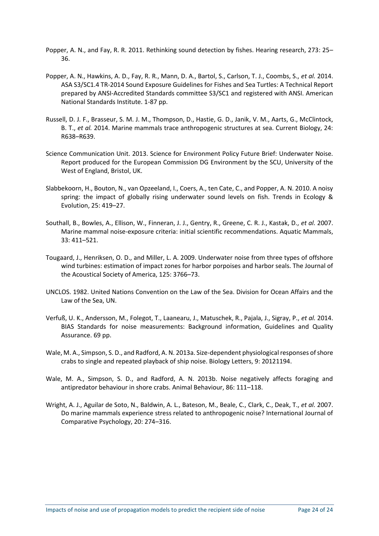- Popper, A. N., and Fay, R. R. 2011. Rethinking sound detection by fishes. Hearing research, 273: 25– 36.
- Popper, A. N., Hawkins, A. D., Fay, R. R., Mann, D. A., Bartol, S., Carlson, T. J., Coombs, S., *et al.* 2014. ASA S3/SC1.4 TR-2014 Sound Exposure Guidelines for Fishes and Sea Turtles: A Technical Report prepared by ANSI-Accredited Standards committee S3/SC1 and registered with ANSI. American National Standards Institute. 1-87 pp.
- Russell, D. J. F., Brasseur, S. M. J. M., Thompson, D., Hastie, G. D., Janik, V. M., Aarts, G., McClintock, B. T., *et al.* 2014. Marine mammals trace anthropogenic structures at sea. Current Biology, 24: R638–R639.
- Science Communication Unit. 2013. Science for Environment Policy Future Brief: Underwater Noise. Report produced for the European Commission DG Environment by the SCU, University of the West of England, Bristol, UK.
- Slabbekoorn, H., Bouton, N., van Opzeeland, I., Coers, A., ten Cate, C., and Popper, A. N. 2010. A noisy spring: the impact of globally rising underwater sound levels on fish. Trends in Ecology & Evolution, 25: 419–27.
- Southall, B., Bowles, A., Ellison, W., Finneran, J. J., Gentry, R., Greene, C. R. J., Kastak, D., *et al.* 2007. Marine mammal noise-exposure criteria: initial scientific recommendations. Aquatic Mammals, 33: 411–521.
- Tougaard, J., Henriksen, O. D., and Miller, L. A. 2009. Underwater noise from three types of offshore wind turbines: estimation of impact zones for harbor porpoises and harbor seals. The Journal of the Acoustical Society of America, 125: 3766–73.
- UNCLOS. 1982. United Nations Convention on the Law of the Sea. Division for Ocean Affairs and the Law of the Sea, UN.
- Verfuß, U. K., Andersson, M., Folegot, T., Laanearu, J., Matuschek, R., Pajala, J., Sigray, P., *et al.* 2014. BIAS Standards for noise measurements: Background information, Guidelines and Quality Assurance. 69 pp.
- Wale, M. A., Simpson, S. D., and Radford, A. N. 2013a. Size-dependent physiological responses of shore crabs to single and repeated playback of ship noise. Biology Letters, 9: 20121194.
- Wale, M. A., Simpson, S. D., and Radford, A. N. 2013b. Noise negatively affects foraging and antipredator behaviour in shore crabs. Animal Behaviour, 86: 111–118.
- Wright, A. J., Aguilar de Soto, N., Baldwin, A. L., Bateson, M., Beale, C., Clark, C., Deak, T., *et al.* 2007. Do marine mammals experience stress related to anthropogenic noise? International Journal of Comparative Psychology, 20: 274–316.